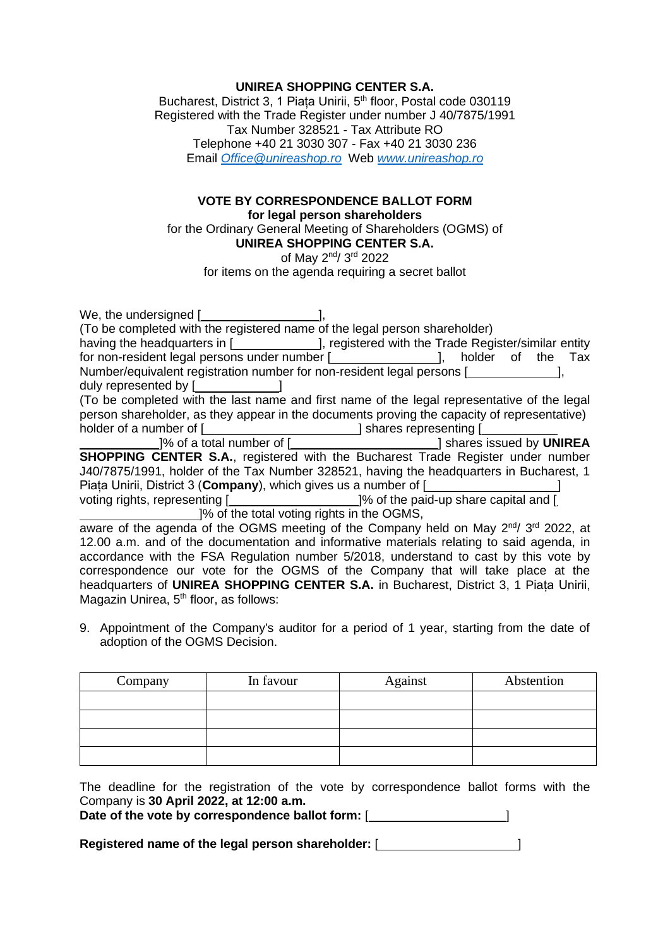## **UNIREA SHOPPING CENTER S.A.**

Bucharest, District 3, 1 Piața Unirii, 5<sup>th</sup> floor, Postal code 030119 Registered with the Trade Register under number J 40/7875/1991 Tax Number 328521 - Tax Attribute RO Telephone +40 21 3030 307 - Fax +40 21 3030 236 Email *[Office@unireashop.ro](mailto:Office@unireashop.ro)* Web *[www.unireashop.ro](http://www.unireashop.ro/)*

## **VOTE BY CORRESPONDENCE BALLOT FORM for legal person shareholders**

for the Ordinary General Meeting of Shareholders (OGMS) of **UNIREA SHOPPING CENTER S.A.**

of May 2<sup>nd</sup>/ 3<sup>rd</sup> 2022

for items on the agenda requiring a secret ballot

| having the headquarters in [ <b>wire in the Strutter</b> ], registered with the Trade Register/similar entity             |  |  |  |  |
|---------------------------------------------------------------------------------------------------------------------------|--|--|--|--|
| for non-resident legal persons under number [ <i>________________</i> ], holder of the Tax                                |  |  |  |  |
| Number/equivalent registration number for non-resident legal persons [                                                    |  |  |  |  |
| duly represented by [_______________]                                                                                     |  |  |  |  |
| (To be completed with the last name and first name of the legal representative of the legal                               |  |  |  |  |
| person shareholder, as they appear in the documents proving the capacity of representative)                               |  |  |  |  |
| holder of a number of [ <i>_______________________</i> ] shares representing [ <i>____________</i>                        |  |  |  |  |
| [24] Shares issued by UNIREA [23] Shares issued by UNIREA                                                                 |  |  |  |  |
| <b>SHOPPING CENTER S.A., registered with the Bucharest Trade Register under number</b>                                    |  |  |  |  |
| J40/7875/1991, holder of the Tax Number 328521, having the headquarters in Bucharest, 1                                   |  |  |  |  |
| Piața Unirii, District 3 (Company), which gives us a number of [ <b>will-contrary contrary contrary contrary contrary</b> |  |  |  |  |
| voting rights, representing [ <b>will can be also contained</b> 1% of the paid-up share capital and [                     |  |  |  |  |
| 1% of the total voting rights in the OGMS,                                                                                |  |  |  |  |
| aware of the agenda of the OGMS meeting of the Company held on May 2 <sup>nd</sup> / 3 <sup>rd</sup> 2022, at             |  |  |  |  |
| 12.00 a.m. and of the documentation and informative materials relating to said agenda, in                                 |  |  |  |  |
| accordance with the FSA Regulation number 5/2018, understand to cast by this vote by                                      |  |  |  |  |
| correspondence our vote for the OGMS of the Company that will take place at the                                           |  |  |  |  |
| headquarters of UNIREA SHOPPING CENTER S.A. in Bucharest, District 3, 1 Piața Unirii,                                     |  |  |  |  |
| Magazin Unirea, 5 <sup>th</sup> floor, as follows:                                                                        |  |  |  |  |

9. Appointment of the Company's auditor for a period of 1 year, starting from the date of adoption of the OGMS Decision.

| Company | In favour | Against | Abstention |
|---------|-----------|---------|------------|
|         |           |         |            |
|         |           |         |            |
|         |           |         |            |
|         |           |         |            |

The deadline for the registration of the vote by correspondence ballot forms with the Company is **30 April 2022, at 12:00 a.m.**

Date of the vote by correspondence ballot form: [*wickerefore contact* and *l*  $\left[\right]$ 

Registered name of the legal person shareholder: [*\_\_\_\_\_\_\_\_\_\_\_\_\_\_\_\_\_\_\_\_*]